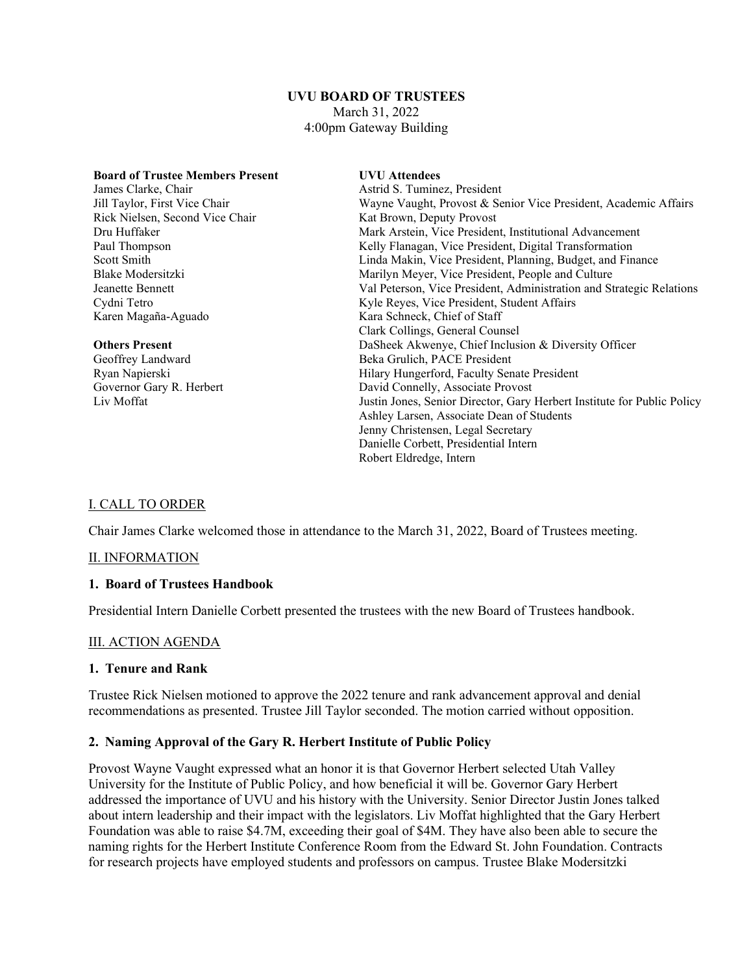### **UVU BOARD OF TRUSTEES** March 31, 2022 4:00pm Gateway Building

| <b>Board of Trustee Members Present</b> | <b>UVU</b> Attendees                                                    |
|-----------------------------------------|-------------------------------------------------------------------------|
| James Clarke, Chair                     | Astrid S. Tuminez, President                                            |
| Jill Taylor, First Vice Chair           | Wayne Vaught, Provost & Senior Vice President, Academic Affairs         |
| Rick Nielsen, Second Vice Chair         | Kat Brown, Deputy Provost                                               |
| Dru Huffaker                            | Mark Arstein, Vice President, Institutional Advancement                 |
| Paul Thompson                           | Kelly Flanagan, Vice President, Digital Transformation                  |
| Scott Smith                             | Linda Makin, Vice President, Planning, Budget, and Finance              |
| Blake Modersitzki                       | Marilyn Meyer, Vice President, People and Culture                       |
| Jeanette Bennett                        | Val Peterson, Vice President, Administration and Strategic Relations    |
| Cydni Tetro                             | Kyle Reyes, Vice President, Student Affairs                             |
| Karen Magaña-Aguado                     | Kara Schneck, Chief of Staff                                            |
|                                         | Clark Collings, General Counsel                                         |
| <b>Others Present</b>                   | DaSheek Akwenye, Chief Inclusion & Diversity Officer                    |
| Geoffrey Landward                       | Beka Grulich, PACE President                                            |
| Ryan Napierski                          | Hilary Hungerford, Faculty Senate President                             |
| Governor Gary R. Herbert                | David Connelly, Associate Provost                                       |
| Liv Moffat                              | Justin Jones, Senior Director, Gary Herbert Institute for Public Policy |
|                                         | Ashley Larsen, Associate Dean of Students                               |
|                                         | Jenny Christensen, Legal Secretary                                      |
|                                         | Danielle Corbett, Presidential Intern                                   |
|                                         | Robert Eldredge, Intern                                                 |

# I. CALL TO ORDER

Chair James Clarke welcomed those in attendance to the March 31, 2022, Board of Trustees meeting.

### II. INFORMATION

#### **1. Board of Trustees Handbook**

Presidential Intern Danielle Corbett presented the trustees with the new Board of Trustees handbook.

### III. ACTION AGENDA

### **1. Tenure and Rank**

Trustee Rick Nielsen motioned to approve the 2022 tenure and rank advancement approval and denial recommendations as presented. Trustee Jill Taylor seconded. The motion carried without opposition.

### **2. Naming Approval of the Gary R. Herbert Institute of Public Policy**

Provost Wayne Vaught expressed what an honor it is that Governor Herbert selected Utah Valley University for the Institute of Public Policy, and how beneficial it will be. Governor Gary Herbert addressed the importance of UVU and his history with the University. Senior Director Justin Jones talked about intern leadership and their impact with the legislators. Liv Moffat highlighted that the Gary Herbert Foundation was able to raise \$4.7M, exceeding their goal of \$4M. They have also been able to secure the naming rights for the Herbert Institute Conference Room from the Edward St. John Foundation. Contracts for research projects have employed students and professors on campus. Trustee Blake Modersitzki